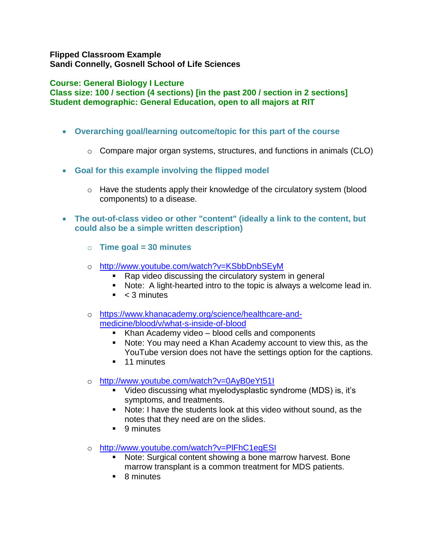## **Flipped Classroom Example Sandi Connelly, Gosnell School of Life Sciences**

## **Course: General Biology I Lecture**

**Class size: 100 / section (4 sections) [in the past 200 / section in 2 sections] Student demographic: General Education, open to all majors at RIT**

- **Overarching goal/learning outcome/topic for this part of the course**
	- $\circ$  Compare major organ systems, structures, and functions in animals (CLO)
- **Goal for this example involving the flipped model**
	- o Have the students apply their knowledge of the circulatory system (blood components) to a disease.
- **The out-of-class video or other "content" (ideally a link to the content, but could also be a simple written description)**
	- o **Time goal = 30 minutes**
	- o <http://www.youtube.com/watch?v=KSbbDnbSEyM>
		- Rap video discussing the circulatory system in general
		- Note: A light-hearted intro to the topic is always a welcome lead in.
		- $\sim$  3 minutes
	- o [https://www.khanacademy.org/science/healthcare-and](https://www.khanacademy.org/science/healthcare-and-medicine/blood/v/what-s-inside-of-blood)[medicine/blood/v/what-s-inside-of-blood](https://www.khanacademy.org/science/healthcare-and-medicine/blood/v/what-s-inside-of-blood)
		- Khan Academy video blood cells and components
		- Note: You may need a Khan Academy account to view this, as the YouTube version does not have the settings option for the captions.
		- **11 minutes**
	- o <http://www.youtube.com/watch?v=0AyB0eYt51I>
		- Video discussing what myelodysplastic syndrome (MDS) is, it's symptoms, and treatments.
		- Note: I have the students look at this video without sound, as the notes that they need are on the slides.
		- 9 minutes
	- o <http://www.youtube.com/watch?v=PlFhC1egESI>
		- Note: Surgical content showing a bone marrow harvest. Bone marrow transplant is a common treatment for MDS patients.
		- 8 minutes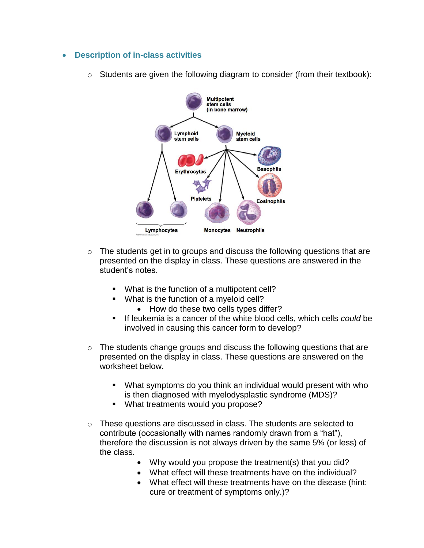- **Description of in-class activities**
	- $\circ$  Students are given the following diagram to consider (from their textbook):



- o The students get in to groups and discuss the following questions that are presented on the display in class. These questions are answered in the student's notes.
	- What is the function of a multipotent cell?
	- What is the function of a myeloid cell?
		- How do these two cells types differ?
	- If leukemia is a cancer of the white blood cells, which cells *could* be involved in causing this cancer form to develop?
- $\circ$  The students change groups and discuss the following questions that are presented on the display in class. These questions are answered on the worksheet below.
	- What symptoms do you think an individual would present with who is then diagnosed with myelodysplastic syndrome (MDS)?
	- What treatments would you propose?
- o These questions are discussed in class. The students are selected to contribute (occasionally with names randomly drawn from a "hat"), therefore the discussion is not always driven by the same 5% (or less) of the class.
	- Why would you propose the treatment(s) that you did?
	- What effect will these treatments have on the individual?
	- What effect will these treatments have on the disease (hint: cure or treatment of symptoms only.)?